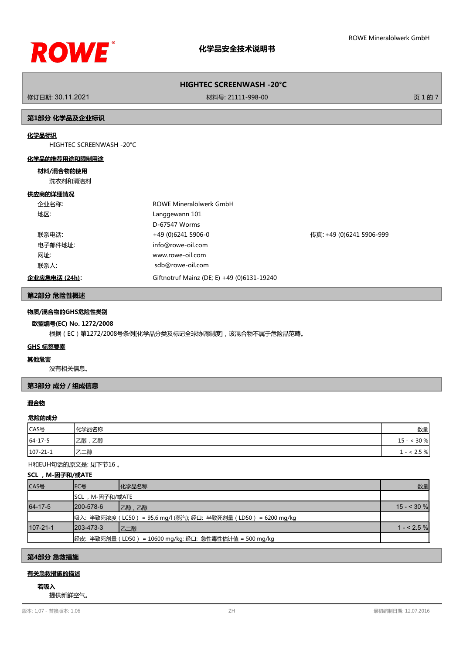

修订日期: 30.11.2021 材料号: 21111-998-00 页 1 的 7

### **第1部分 化学品及企业标识**

## **化学品标识**

HIGHTEC SCREENWASH -20°C

#### **化学品的推荐用途和限制用途**

### **材料/混合物的使用**

洗衣剂和清洁剂

#### **供应商的详细情况**

| 企业名称:         | ROWE Mineralölwerk GmbH                    |                          |
|---------------|--------------------------------------------|--------------------------|
| 地区:           | Langgewann 101                             |                          |
|               | D-67547 Worms                              |                          |
| 联系电话:         | +49 (0)6241 5906-0                         | 传真: +49 (0)6241 5906-999 |
| 电子邮件地址:       | info@rowe-oil.com                          |                          |
| 网址:           | www.rowe-oil.com                           |                          |
| 联系人:          | sdb@rowe-oil.com                           |                          |
| 企业应急电话 (24h): | Giftnotruf Mainz (DE; E) +49 (0)6131-19240 |                          |
|               |                                            |                          |

#### **第2部分 危险性概述**

## **物质/混合物的GHS危险性类别**

### **欧盟编号(EC) No. 1272/2008**

根据(EC)第1272/2008号条例[化学品分类及标记全球协调制度],该混合物不属于危险品范畴。

# **GHS 标签要素**

#### **其他危害**

没有相关信息。

## **第3部分 成分/组成信息**

## **混合物**

#### **危险的成分**

| CAS号           | 化学品名称    | 数量                                     |
|----------------|----------|----------------------------------------|
| $64 - 17 - 5$  | 乙醇<br>乙醇 | 30 %<br>$15 -$                         |
| $107 - 21 - 1$ | 乙二醇      | 2.5 %<br>$\overline{\phantom{0}}$<br>۰ |

#### H和EUH句话的原文是: 见下节16 。

#### **SCL ,M-因子和/或ATE**

| CAS号           | IEC목             | 化学品名称                                                           | 数量          |
|----------------|------------------|-----------------------------------------------------------------|-------------|
|                | SCL,M-因子和/或ATE   |                                                                 |             |
| 64-17-5        | 1200-578-6       | 乙醇,乙醇                                                           | $15 - 30$ % |
|                |                  | 吸入:半致死浓度(LC50 ) = 95,6 mg/l (蒸汽); 经口: 半致死剂量(LD50 ) = 6200 mg/kg |             |
| $107 - 21 - 1$ | $1203 - 473 - 3$ | 乙二醇                                                             | $1 - 2.5\%$ |
|                |                  | 经皮: 半致死剂量 (LD50) = 10600 mg/kg; 经口: 急性毒性估计值 = 500 mg/kg         |             |

## **第4部分 急救措施**

# **有关急救措施的描述**

# **若吸入**

提供新鲜空气。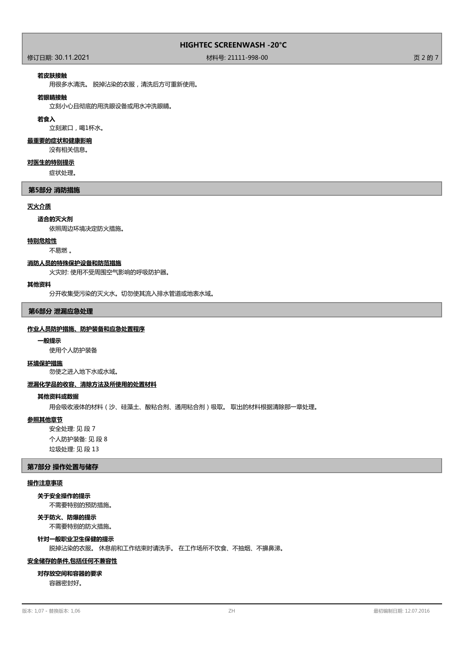## 修订日期: 30.11.2021 材料号: 21111-998-00 页 2 的 7

#### **若皮肤接触**

用很多水清洗。 脱掉沾染的衣服,清洗后方可重新使用。

#### **若眼睛接触**

立刻小心且彻底的用洗眼设备或用水冲洗眼睛。

#### **若食入**

立刻漱口,喝1杯水。

#### **最重要的症状和健康影响**

没有相关信息。

#### **对医生的特别提示**

症状处理。

## **第5部分 消防措施**

#### **灭火介质**

# **适合的灭火剂**

依照周边环境决定防火措施。

## **特别危险性**

不易燃 。

#### **消防人员的特殊保护设备和防范措施**

火灾时: 使用不受周围空气影响的呼吸防护器。

#### **其他资料**

分开收集受污染的灭火水。切勿使其流入排水管道或地表水域。

#### **第6部分 泄漏应急处理**

#### **作业人员防护措施、防护装备和应急处置程序**

#### **一般提示**

使用个人防护装备

#### **环境保护措施**

勿使之进入地下水或水域。

#### **泄漏化学品的收容、清除方法及所使用的处置材料**

#### **其他资料或数据**

用会吸收液体的材料(沙、硅藻土、酸粘合剂、通用粘合剂)吸取。 取出的材料根据清除那一章处理。

#### **参照其他章节**

安全处理: 见 段 7 个人防护装备: 见 段 8 垃圾处理: 见 段 13

#### **第7部分 操作处置与储存**

#### **操作注意事项**

不需要特别的预防措施。 **关于安全操作的提示**

不需要特别的防火措施。 **关于防火、防爆的提示**

# **针对一般职业卫生保健的提示**

脱掉沾染的衣服。 休息前和工作结束时请洗手。 在工作场所不饮食、不抽烟、不擤鼻涕。

#### **安全储存的条件,包括任何不兼容性**

#### **对存放空间和容器的要求**

容器密封好。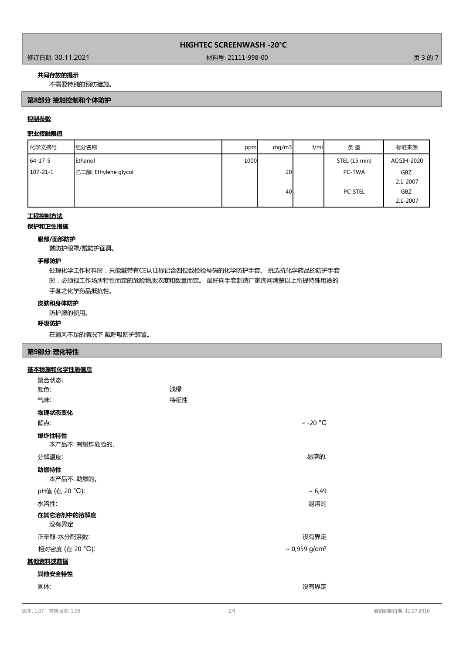修订日期: 30.11.2021 材料号: 21111-998-00 页 3 的 7

## **共同存放的提示**

不需要特别的预防措施。

## **第8部分 接触控制和个体防护**

## **控制参数**

# **职业接触限值**

| 化学文摘号          | 组分名称                 | ppm  | mq/m3 | f/ml | 类型             | 标准来源         |
|----------------|----------------------|------|-------|------|----------------|--------------|
| $64 - 17 - 5$  | <b>IEthanol</b>      | 1000 |       |      | STEL (15 min)  | ACGIH-2020   |
| $107 - 21 - 1$ | 乙二醇; Ethylene glycol |      | 20    |      | PC-TWA         | <b>GBZ</b>   |
|                |                      |      |       |      |                | $2.1 - 2007$ |
|                |                      |      | 40    |      | <b>PC-STEL</b> | <b>GBZ</b>   |
|                |                      |      |       |      |                | $2.1 - 2007$ |

## **工程控制方法**

**保护和卫生措施**

## **眼部/面部防护**

戴防护眼罩/戴防护面具。

#### **手部防护**

处理化学工作材料时,只能戴带有CE认证标记含四位数检验号码的化学防护手套。 挑选抗化学药品的防护手套 时,必须视工作场所特性而定的危险物质浓度和数量而定。 最好向手套制造厂家询问清楚以上所提特殊用途的 手套之化学药品抵抗性。

## **皮肤和身体防护**

防护服的使用。

## **呼吸防护**

在通风不足的情况下 戴呼吸防护装置。

## **第9部分 理化特性**

#### **基本物理和化学性质信息**

| 聚合状态:                 |     |                                |
|-----------------------|-----|--------------------------------|
| 颜色:                   | 浅绿  |                                |
| 气味:                   | 特征性 |                                |
| 物理状态变化                |     |                                |
| 倾点:                   |     | $\sim$ -20 °C                  |
| 爆炸性特性<br>本产品不:有爆炸危险的。 |     |                                |
| 分解温度:                 |     | 易溶的.                           |
| 助燃特性<br>本产品不:助燃的。     |     |                                |
| pH值 (在 20 °C):        |     | ~5,49                          |
| 水溶性:                  |     | 易溶的                            |
| 在其它溶剂中的溶解度<br>没有界定    |     |                                |
| 正辛醇-水分配系数:            |     | 没有界定                           |
| 相对密度 (在 20 °C):       |     | $\sim 0.959$ g/cm <sup>3</sup> |
| 其他资料或数据               |     |                                |
| 其他安全特性                |     |                                |
| 固体:                   |     | 没有界定                           |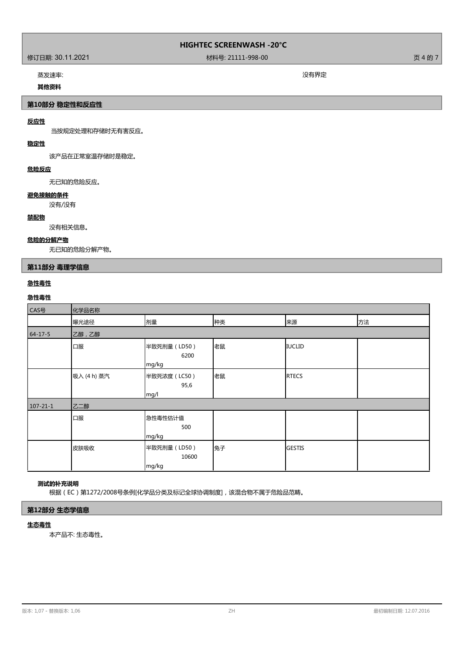# 作了<br>第二十一章 新闻的《新闻》第一卷,第二十一章 新闻的《新闻》第一卷,第二十一章 新闻的《新闻》第一卷,第二十一章 新闻的《新闻》第一卷,第一卷,第一卷,第一卷<br>第二十一章 新闻的《新闻》第一卷,第二十一章 新闻的《新闻》第一卷,第二十一章 新闻的《新闻》第一卷,第二十一章 新闻的《新闻》第一卷,第二十一章 新闻》第一卷

蒸发速率: 没有界定

## **其他资料**

**第10部分 稳定性和反应性**

# **反应性**

当按规定处理和存储时无有害反应。

# **稳定性**

该产品在正常室温存储时是稳定。

# **危险反应**

无已知的危险反应。

## **避免接触的条件**

没有/没有

# **禁配物**

没有相关信息。

## **危险的分解产物**

无已知的危险分解产物。

# **第11部分 毒理学信息**

## **急性毒性**

# **急性毒性**

| CAS号           | 化学品名称       |                                |    |               |    |
|----------------|-------------|--------------------------------|----|---------------|----|
|                | 曝光途径        | 剂量                             | 种类 | 来源            | 方法 |
| $64 - 17 - 5$  | 乙醇,乙醇       |                                |    |               |    |
|                | 口服          | 半致死剂量 (LD50)<br>6200<br>mg/kg  | 老鼠 | <b>IUCLID</b> |    |
|                | 吸入 (4 h) 蒸汽 | 半致死浓度 (LC50)<br>95,6<br>mg/l   | 老鼠 | <b>RTECS</b>  |    |
| $107 - 21 - 1$ | 乙二醇         |                                |    |               |    |
|                | 口服          | 急性毒性估计值<br>500<br>mg/kg        |    |               |    |
|                | 皮肤吸收        | 半致死剂量 (LD50)<br>10600<br>mg/kg | 兔子 | <b>GESTIS</b> |    |

# **测试的补充说明**

根据(EC)第1272/2008号条例[化学品分类及标记全球协调制度],该混合物不属于危险品范畴。

## **第12部分 生态学信息**

#### **生态毒性**

本产品不: 生态毒性。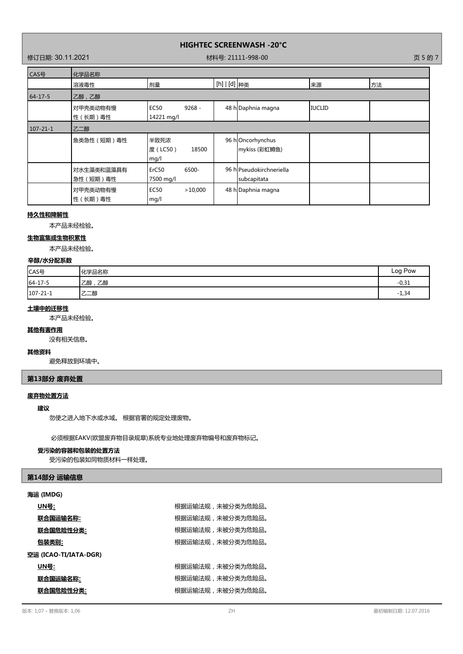修订日期: 30.11.2021 材料号: 21111-998-00 页 5 的 7

| CAS号           | 化学品名称                   |                                         |                |                                         |               |    |
|----------------|-------------------------|-----------------------------------------|----------------|-----------------------------------------|---------------|----|
|                | 溶液毒性                    | 剂量                                      | [h]   [d]   种类 |                                         | 来源            | 方法 |
| $64 - 17 - 5$  | 乙醇,乙醇                   |                                         |                |                                         |               |    |
|                | 对甲壳类动物有慢<br>性 (长期)毒性    | $9268 -$<br><b>EC50</b><br>14221 mg/l   |                | 48 h Daphnia magna                      | <b>IUCLID</b> |    |
| $107 - 21 - 1$ | 乙二醇                     |                                         |                |                                         |               |    |
|                | 鱼类急性 (短期)毒性             | 半致死浓<br>度(LC50)<br>18500<br>mg/l        |                | 96 hOncorhynchus<br>mykiss (彩虹鳟鱼)       |               |    |
|                | 对水生藻类和蓝藻具有<br>急性 (短期)毒性 | 6500-<br>ErC <sub>50</sub><br>7500 mg/l |                | 96 hlPseudokirchneriella<br>subcapitata |               |    |
|                | 对甲壳类动物有慢<br>性 (长期)毒性    | <b>EC50</b><br>>10,000<br>mg/l          |                | 48 h Daphnia magna                      |               |    |

## **持久性和降解性**

本产品未经检验。

## **生物富集或生物积累性**

本产品未经检验。

# **辛醇/水分配系数**

| CAS号     | 化学品名称     | Log Pow |
|----------|-----------|---------|
| 64-17-5  | 、乙醇<br>乙醇 | $-0,31$ |
| 107-21-1 | 乙二醇       | $-1,34$ |

## **土壤中的迁移性**

本产品未经检验。

# **其他有害作用**

没有相关信息。

## **其他资料**

避免释放到环境中。

# **第13部分 废弃处置**

## **废弃物处置方法**

## **建议**

勿使之进入地下水或水域。 根据官署的规定处理废物。

必须根据EAKV(欧盟废弃物目录规章)系统专业地处理废弃物编号和废弃物标记。

#### **受污染的容器和包装的处置方法**

受污染的包装如同物质材料一样处理。

## **第14部分 运输信息**

#### **海运 (IMDG)**

| <u> UN号:</u>          | 根据运输法规,未被分类为危险品。 |
|-----------------------|------------------|
| 联合国运输名称:              | 根据运输法规,未被分类为危险品。 |
| 联合国危险性分类:             | 根据运输法规,未被分类为危险品。 |
| 包装类别:                 | 根据运输法规,未被分类为危险品。 |
| 空运 (ICAO-TI/IATA-DGR) |                  |
|                       |                  |
| UN号:                  | 根据运输法规,未被分类为危险品。 |
| <u>联合国运输名称:</u>       | 根据运输法规,未被分类为危险品。 |
| 联合国危险性分类:             | 根据运输法规,未被分类为危险品。 |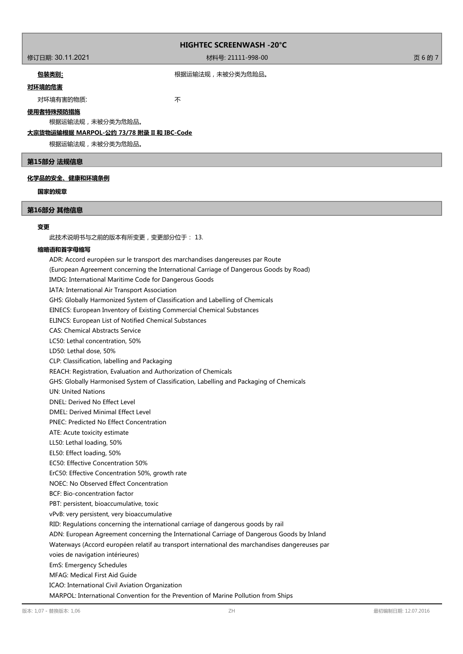修订日期: 30.11.2021 材料号: 21111-998-00 页 6 的 7

## 包装类别; 网络卡尔卡尔卡尔卡尔卡尔卡尔卡尔卡尔特尔·卡尔特尔·卡尔特尔·卡尔特尔·卡尔特

# **对环境的危害**

对环境有害的物质: カランド インタン かいしょう 不

## **使用者特殊预防措施**

根据运输法规,未被分类为危险品。

# **大宗货物运输根据 MARPOL-公约 73/78 附录 II 和 IBC-Code**

根据运输法规,未被分类为危险品。

#### **第15部分 法规信息**

#### **化学品的安全、健康和环境条例**

## **国家的规章**

## **第16部分 其他信息**

#### **变更**

此技术说明书与之前的版本有所变更,变更部分位于: 13.

#### **缩略语和首字母缩写**

ADR: Accord européen sur le transport des marchandises dangereuses par Route (European Agreement concerning the International Carriage of Dangerous Goods by Road) IMDG: International Maritime Code for Dangerous Goods IATA: International Air Transport Association GHS: Globally Harmonized System of Classification and Labelling of Chemicals EINECS: European Inventory of Existing Commercial Chemical Substances ELINCS: European List of Notified Chemical Substances CAS: Chemical Abstracts Service LC50: Lethal concentration, 50% LD50: Lethal dose, 50% CLP: Classification, labelling and Packaging REACH: Registration, Evaluation and Authorization of Chemicals GHS: Globally Harmonised System of Classification, Labelling and Packaging of Chemicals UN: United Nations DNEL: Derived No Effect Level DMEL: Derived Minimal Effect Level PNEC: Predicted No Effect Concentration ATE: Acute toxicity estimate LL50: Lethal loading, 50% EL50: Effect loading, 50% EC50: Effective Concentration 50% ErC50: Effective Concentration 50%, growth rate NOEC: No Observed Effect Concentration BCF: Bio-concentration factor PBT: persistent, bioaccumulative, toxic vPvB: very persistent, very bioaccumulative RID: Regulations concerning the international carriage of dangerous goods by rail ADN: European Agreement concerning the International Carriage of Dangerous Goods by Inland Waterways (Accord européen relatif au transport international des marchandises dangereuses par voies de navigation intérieures) EmS: Emergency Schedules MFAG: Medical First Aid Guide ICAO: International Civil Aviation Organization MARPOL: International Convention for the Prevention of Marine Pollution from Ships 版本: 1,07 - 替換版本: 1,06 ZH 最初编制日期: 12.07.2016